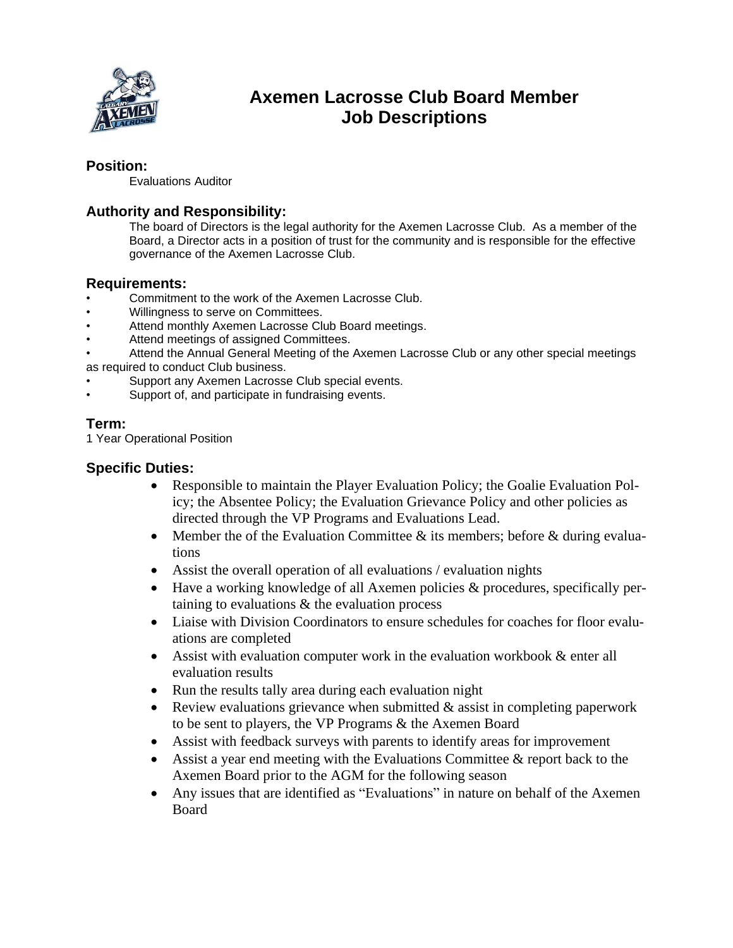

# **Axemen Lacrosse Club Board Member Job Descriptions**

#### **Position:**

Evaluations Auditor

### **Authority and Responsibility:**

The board of Directors is the legal authority for the Axemen Lacrosse Club. As a member of the Board, a Director acts in a position of trust for the community and is responsible for the effective governance of the Axemen Lacrosse Club.

#### **Requirements:**

- Commitment to the work of the Axemen Lacrosse Club.
- Willingness to serve on Committees.
- Attend monthly Axemen Lacrosse Club Board meetings.
- Attend meetings of assigned Committees.
- Attend the Annual General Meeting of the Axemen Lacrosse Club or any other special meetings as required to conduct Club business.
- Support any Axemen Lacrosse Club special events.
- Support of, and participate in fundraising events.

## **Term:**

1 Year Operational Position

#### **Specific Duties:**

- Responsible to maintain the Player Evaluation Policy; the Goalie Evaluation Policy; the Absentee Policy; the Evaluation Grievance Policy and other policies as directed through the VP Programs and Evaluations Lead.
- Member the of the Evaluation Committee  $\&$  its members; before  $\&$  during evaluations
- Assist the overall operation of all evaluations / evaluation nights
- Have a working knowledge of all Axemen policies & procedures, specifically pertaining to evaluations & the evaluation process
- Liaise with Division Coordinators to ensure schedules for coaches for floor evaluations are completed
- Assist with evaluation computer work in the evaluation workbook & enter all evaluation results
- Run the results tally area during each evaluation night
- Review evaluations grievance when submitted  $\&$  assist in completing paperwork to be sent to players, the VP Programs & the Axemen Board
- Assist with feedback surveys with parents to identify areas for improvement
- Assist a year end meeting with the Evaluations Committee & report back to the Axemen Board prior to the AGM for the following season
- Any issues that are identified as "Evaluations" in nature on behalf of the Axemen Board